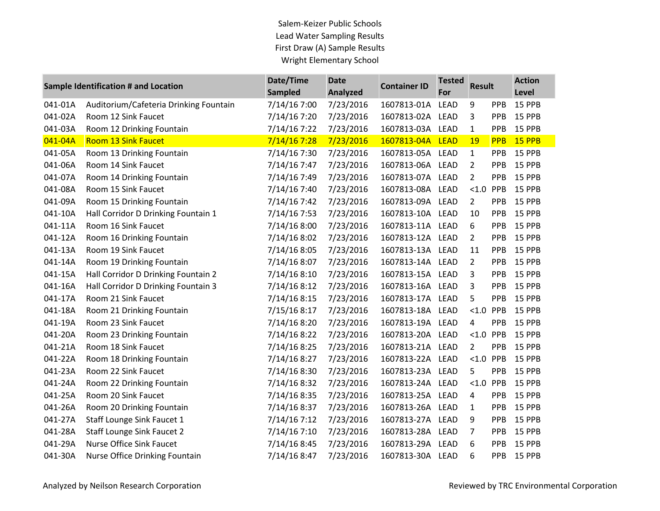Salem-Keizer Public Schools Lead Water Sampling Results First Draw (A) Sample Results Wright Elementary School

|         | <b>Sample Identification # and Location</b> | Date/Time<br>Sampled | <b>Date</b><br>Analyzed | <b>Container ID</b> | <b>Tested</b><br>For | <b>Result</b>  |            | <b>Action</b><br>Level |
|---------|---------------------------------------------|----------------------|-------------------------|---------------------|----------------------|----------------|------------|------------------------|
| 041-01A | Auditorium/Cafeteria Drinking Fountain      | 7/14/16 7:00         | 7/23/2016               | 1607813-01A         | <b>LEAD</b>          | 9              | PPB        | 15 PPB                 |
| 041-02A | Room 12 Sink Faucet                         | 7/14/16 7:20         | 7/23/2016               | 1607813-02A         | <b>LEAD</b>          | 3              | <b>PPB</b> | 15 PPB                 |
| 041-03A | Room 12 Drinking Fountain                   | 7/14/16 7:22         | 7/23/2016               | 1607813-03A         | <b>LEAD</b>          | 1              | PPB        | 15 PPB                 |
| 041-04A | <b>Room 13 Sink Faucet</b>                  | 7/14/16 7:28         | 7/23/2016               | 1607813-04A         | <b>LEAD</b>          | 19             | PPB        | 15 PPB                 |
| 041-05A | Room 13 Drinking Fountain                   | 7/14/16 7:30         | 7/23/2016               | 1607813-05A         | <b>LEAD</b>          | $\mathbf{1}$   | PPB        | 15 PPB                 |
| 041-06A | Room 14 Sink Faucet                         | 7/14/16 7:47         | 7/23/2016               | 1607813-06A         | <b>LEAD</b>          | $\overline{2}$ | PPB        | 15 PPB                 |
| 041-07A | Room 14 Drinking Fountain                   | 7/14/16 7:49         | 7/23/2016               | 1607813-07A         | <b>LEAD</b>          | $\overline{2}$ | PPB        | 15 PPB                 |
| 041-08A | Room 15 Sink Faucet                         | 7/14/16 7:40         | 7/23/2016               | 1607813-08A         | <b>LEAD</b>          | < 1.0          | PPB        | 15 PPB                 |
| 041-09A | Room 15 Drinking Fountain                   | 7/14/16 7:42         | 7/23/2016               | 1607813-09A         | <b>LEAD</b>          | $\overline{2}$ | PPB        | 15 PPB                 |
| 041-10A | Hall Corridor D Drinking Fountain 1         | 7/14/16 7:53         | 7/23/2016               | 1607813-10A         | LEAD                 | 10             | PPB        | 15 PPB                 |
| 041-11A | Room 16 Sink Faucet                         | 7/14/16 8:00         | 7/23/2016               | 1607813-11A         | <b>LEAD</b>          | 6              | PPB        | 15 PPB                 |
| 041-12A | Room 16 Drinking Fountain                   | 7/14/16 8:02         | 7/23/2016               | 1607813-12A         | <b>LEAD</b>          | 2              | PPB        | 15 PPB                 |
| 041-13A | Room 19 Sink Faucet                         | 7/14/16 8:05         | 7/23/2016               | 1607813-13A         | LEAD                 | 11             | PPB        | 15 PPB                 |
| 041-14A | Room 19 Drinking Fountain                   | 7/14/16 8:07         | 7/23/2016               | 1607813-14A         | LEAD                 | $\overline{2}$ | <b>PPB</b> | 15 PPB                 |
| 041-15A | Hall Corridor D Drinking Fountain 2         | 7/14/16 8:10         | 7/23/2016               | 1607813-15A         | LEAD                 | 3              | PPB        | 15 PPB                 |
| 041-16A | Hall Corridor D Drinking Fountain 3         | 7/14/16 8:12         | 7/23/2016               | 1607813-16A         | <b>LEAD</b>          | 3              | <b>PPB</b> | 15 PPB                 |
| 041-17A | Room 21 Sink Faucet                         | 7/14/16 8:15         | 7/23/2016               | 1607813-17A         | LEAD                 | 5              | PPB        | 15 PPB                 |
| 041-18A | Room 21 Drinking Fountain                   | 7/15/16 8:17         | 7/23/2016               | 1607813-18A         | LEAD                 | < 1.0          | PPB        | 15 PPB                 |
| 041-19A | Room 23 Sink Faucet                         | 7/14/16 8:20         | 7/23/2016               | 1607813-19A         | <b>LEAD</b>          | 4              | PPB        | 15 PPB                 |
| 041-20A | Room 23 Drinking Fountain                   | 7/14/16 8:22         | 7/23/2016               | 1607813-20A         | <b>LEAD</b>          | < 1.0          | PPB        | 15 PPB                 |
| 041-21A | Room 18 Sink Faucet                         | 7/14/16 8:25         | 7/23/2016               | 1607813-21A         | <b>LEAD</b>          | $\overline{2}$ | PPB        | 15 PPB                 |
| 041-22A | Room 18 Drinking Fountain                   | 7/14/16 8:27         | 7/23/2016               | 1607813-22A         | <b>LEAD</b>          | < 1.0          | PPB        | 15 PPB                 |
| 041-23A | Room 22 Sink Faucet                         | 7/14/16 8:30         | 7/23/2016               | 1607813-23A         | <b>LEAD</b>          | 5              | PPB        | 15 PPB                 |
| 041-24A | Room 22 Drinking Fountain                   | 7/14/16 8:32         | 7/23/2016               | 1607813-24A         | <b>LEAD</b>          | < 1.0          | PPB        | 15 PPB                 |
| 041-25A | Room 20 Sink Faucet                         | 7/14/16 8:35         | 7/23/2016               | 1607813-25A         | <b>LEAD</b>          | 4              | PPB        | 15 PPB                 |
| 041-26A | Room 20 Drinking Fountain                   | 7/14/16 8:37         | 7/23/2016               | 1607813-26A         | <b>LEAD</b>          | $\mathbf{1}$   | PPB        | 15 PPB                 |
| 041-27A | Staff Lounge Sink Faucet 1                  | 7/14/16 7:12         | 7/23/2016               | 1607813-27A         | LEAD                 | 9              | PPB        | 15 PPB                 |
| 041-28A | <b>Staff Lounge Sink Faucet 2</b>           | 7/14/16 7:10         | 7/23/2016               | 1607813-28A         | LEAD                 | 7              | <b>PPB</b> | 15 PPB                 |
| 041-29A | <b>Nurse Office Sink Faucet</b>             | 7/14/16 8:45         | 7/23/2016               | 1607813-29A         | LEAD                 | 6              | <b>PPB</b> | 15 PPB                 |
| 041-30A | Nurse Office Drinking Fountain              | 7/14/16 8:47         | 7/23/2016               | 1607813-30A         | LEAD                 | 6              | <b>PPB</b> | <b>15 PPB</b>          |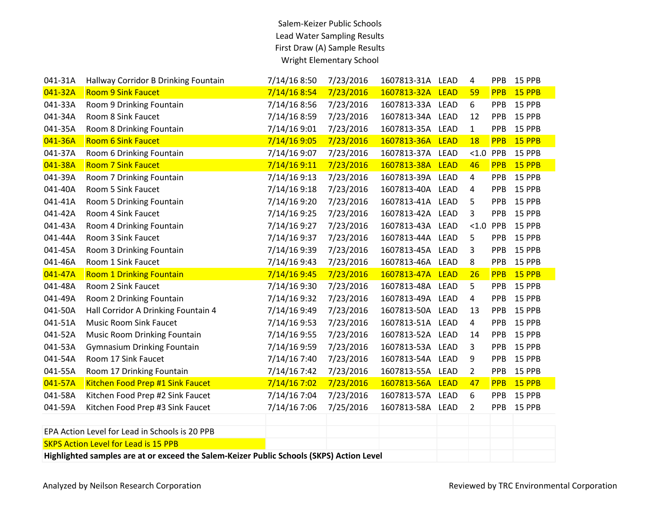## Salem-Keizer Public Schools Lead Water Sampling Results First Draw (A) Sample Results Wright Elementary School

| 041-31A | Hallway Corridor B Drinking Fountain                                                                                                    | 7/14/16 8:50 | 7/23/2016 | 1607813-31A      | <b>LEAD</b> | 4              | PPB        | 15 PPB        |
|---------|-----------------------------------------------------------------------------------------------------------------------------------------|--------------|-----------|------------------|-------------|----------------|------------|---------------|
| 041-32A | <b>Room 9 Sink Faucet</b>                                                                                                               | 7/14/16 8:54 | 7/23/2016 | 1607813-32A      | <b>LEAD</b> | 59             | PPB        | 15 PPB        |
| 041-33A | Room 9 Drinking Fountain                                                                                                                | 7/14/16 8:56 | 7/23/2016 | 1607813-33A LEAD |             | 6              | PPB        | 15 PPB        |
| 041-34A | Room 8 Sink Faucet                                                                                                                      | 7/14/16 8:59 | 7/23/2016 | 1607813-34A      | <b>LEAD</b> | 12             | PPB        | 15 PPB        |
| 041-35A | Room 8 Drinking Fountain                                                                                                                | 7/14/16 9:01 | 7/23/2016 | 1607813-35A LEAD |             | $\mathbf{1}$   | PPB        | 15 PPB        |
| 041-36A | <b>Room 6 Sink Faucet</b>                                                                                                               | 7/14/16 9:05 | 7/23/2016 | 1607813-36A      | <b>LEAD</b> | 18             | PPB        | 15 PPB        |
| 041-37A | Room 6 Drinking Fountain                                                                                                                | 7/14/16 9:07 | 7/23/2016 | 1607813-37A      | <b>LEAD</b> | < 1.0          | PPB        | 15 PPB        |
| 041-38A | <b>Room 7 Sink Faucet</b>                                                                                                               | 7/14/16 9:11 | 7/23/2016 | 1607813-38A      | <b>LEAD</b> | 46             | PPB        | <b>15 PPB</b> |
| 041-39A | Room 7 Drinking Fountain                                                                                                                | 7/14/16 9:13 | 7/23/2016 | 1607813-39A LEAD |             | 4              | PPB        | 15 PPB        |
| 041-40A | Room 5 Sink Faucet                                                                                                                      | 7/14/16 9:18 | 7/23/2016 | 1607813-40A LEAD |             | 4              | PPB        | 15 PPB        |
| 041-41A | Room 5 Drinking Fountain                                                                                                                | 7/14/16 9:20 | 7/23/2016 | 1607813-41A LEAD |             | 5              | PPB        | 15 PPB        |
| 041-42A | Room 4 Sink Faucet                                                                                                                      | 7/14/16 9:25 | 7/23/2016 | 1607813-42A      | <b>LEAD</b> | 3              | PPB        | 15 PPB        |
| 041-43A | Room 4 Drinking Fountain                                                                                                                | 7/14/16 9:27 | 7/23/2016 | 1607813-43A LEAD |             | < 1.0          | PPB        | 15 PPB        |
| 041-44A | Room 3 Sink Faucet                                                                                                                      | 7/14/16 9:37 | 7/23/2016 | 1607813-44A LEAD |             | 5              | PPB        | 15 PPB        |
| 041-45A | Room 3 Drinking Fountain                                                                                                                | 7/14/16 9:39 | 7/23/2016 | 1607813-45A LEAD |             | 3              | PPB        | 15 PPB        |
| 041-46A | Room 1 Sink Faucet                                                                                                                      | 7/14/16 9:43 | 7/23/2016 | 1607813-46A      | <b>LEAD</b> | 8              | PPB        | 15 PPB        |
| 041-47A | <b>Room 1 Drinking Fountain</b>                                                                                                         | 7/14/16 9:45 | 7/23/2016 | 1607813-47A      | <b>LEAD</b> | 26             | <b>PPB</b> | 15 PPB        |
| 041-48A | Room 2 Sink Faucet                                                                                                                      | 7/14/16 9:30 | 7/23/2016 | 1607813-48A      | <b>LEAD</b> | 5              | PPB        | 15 PPB        |
| 041-49A | Room 2 Drinking Fountain                                                                                                                | 7/14/16 9:32 | 7/23/2016 | 1607813-49A LEAD |             | 4              | PPB        | 15 PPB        |
| 041-50A | Hall Corridor A Drinking Fountain 4                                                                                                     | 7/14/16 9:49 | 7/23/2016 | 1607813-50A LEAD |             | 13             | PPB        | 15 PPB        |
| 041-51A | <b>Music Room Sink Faucet</b>                                                                                                           | 7/14/16 9:53 | 7/23/2016 | 1607813-51A LEAD |             | $\overline{4}$ | PPB        | 15 PPB        |
| 041-52A | <b>Music Room Drinking Fountain</b>                                                                                                     | 7/14/16 9:55 | 7/23/2016 | 1607813-52A LEAD |             | 14             | PPB        | 15 PPB        |
| 041-53A | <b>Gymnasium Drinking Fountain</b>                                                                                                      | 7/14/16 9:59 | 7/23/2016 | 1607813-53A LEAD |             | 3              | PPB        | 15 PPB        |
| 041-54A | Room 17 Sink Faucet                                                                                                                     | 7/14/16 7:40 | 7/23/2016 | 1607813-54A      | <b>LEAD</b> | 9              | PPB        | 15 PPB        |
| 041-55A | Room 17 Drinking Fountain                                                                                                               | 7/14/16 7:42 | 7/23/2016 | 1607813-55A      | <b>LEAD</b> | $\overline{2}$ | PPB        | 15 PPB        |
|         |                                                                                                                                         |              |           |                  |             |                |            |               |
| 041-57A | Kitchen Food Prep #1 Sink Faucet                                                                                                        | 7/14/167:02  | 7/23/2016 | 1607813-56A      | <b>LEAD</b> | 47             | <b>PPB</b> | 15 PPB        |
| 041-58A | Kitchen Food Prep #2 Sink Faucet                                                                                                        | 7/14/16 7:04 | 7/23/2016 | 1607813-57A      | <b>LEAD</b> | 6              | PPB        | 15 PPB        |
| 041-59A | Kitchen Food Prep #3 Sink Faucet                                                                                                        | 7/14/16 7:06 | 7/25/2016 | 1607813-58A LEAD |             | $\overline{2}$ | PPB        | 15 PPB        |
|         |                                                                                                                                         |              |           |                  |             |                |            |               |
|         | EPA Action Level for Lead in Schools is 20 PPB                                                                                          |              |           |                  |             |                |            |               |
|         | <b>SKPS Action Level for Lead is 15 PPB</b><br>Highlighted samples are at or exceed the Salem-Keizer Public Schools (SKPS) Action Level |              |           |                  |             |                |            |               |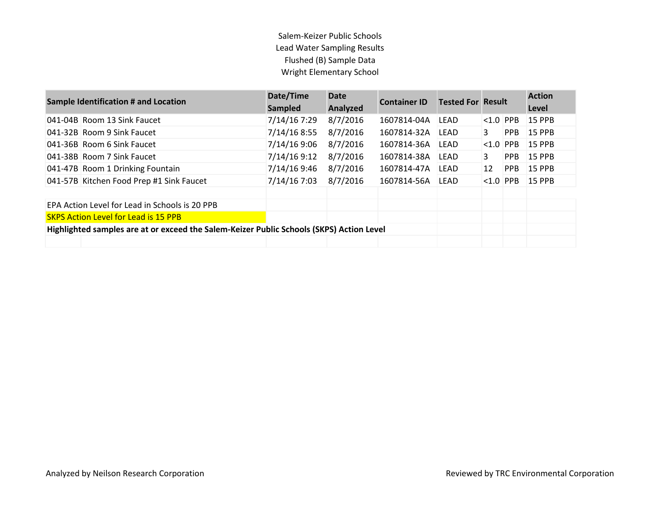## Salem-Keizer Public Schools Lead Water Sampling Results Flushed (B) Sample Data Wright Elementary School

| <b>Sample Identification # and Location</b>                                              | Date/Time<br>Sampled | <b>Date</b><br>Analyzed | <b>Container ID</b> | <b>Tested For Result</b> |             |            | <b>Action</b><br>Level |
|------------------------------------------------------------------------------------------|----------------------|-------------------------|---------------------|--------------------------|-------------|------------|------------------------|
| 041-04B Room 13 Sink Faucet                                                              | 7/14/16 7:29         | 8/7/2016                | 1607814-04A         | <b>LEAD</b>              | $< 1.0$ PPB |            | <b>15 PPB</b>          |
| 041-32B Room 9 Sink Faucet                                                               | 7/14/16 8:55         | 8/7/2016                | 1607814-32A         | LEAD                     | 3.          | <b>PPB</b> | <b>15 PPB</b>          |
| 041-36B Room 6 Sink Faucet                                                               | 7/14/16 9:06         | 8/7/2016                | 1607814-36A         | LEAD                     | < 1.0       | <b>PPB</b> | <b>15 PPB</b>          |
| 041-38B Room 7 Sink Faucet                                                               | 7/14/16 9:12         | 8/7/2016                | 1607814-38A         | <b>LEAD</b>              | 3.          | <b>PPB</b> | <b>15 PPB</b>          |
| 041-47B Room 1 Drinking Fountain                                                         | 7/14/16 9:46         | 8/7/2016                | 1607814-47A         | <b>LEAD</b>              | 12          | PPB        | <b>15 PPB</b>          |
| 041-57B Kitchen Food Prep #1 Sink Faucet                                                 | 7/14/16 7:03         | 8/7/2016                | 1607814-56A         | <b>LEAD</b>              | $< 1.0$ PPB |            | 15 PPB                 |
|                                                                                          |                      |                         |                     |                          |             |            |                        |
| EPA Action Level for Lead in Schools is 20 PPB                                           |                      |                         |                     |                          |             |            |                        |
| <b>SKPS Action Level for Lead is 15 PPB</b>                                              |                      |                         |                     |                          |             |            |                        |
| Highlighted samples are at or exceed the Salem-Keizer Public Schools (SKPS) Action Level |                      |                         |                     |                          |             |            |                        |
|                                                                                          |                      |                         |                     |                          |             |            |                        |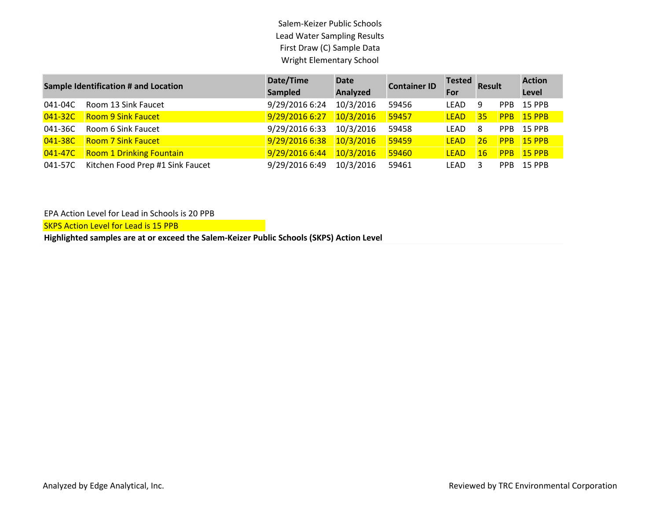Salem-Keizer Public Schools Lead Water Sampling Results First Draw (C) Sample Data Wright Elementary School

|         | <b>Sample Identification # and Location</b> | Date/Time<br>Sampled | <b>Date</b><br>Analyzed | <b>Container ID</b> | <b>Tested</b><br>For | <b>Result</b> |      | <b>Action</b><br>Level |
|---------|---------------------------------------------|----------------------|-------------------------|---------------------|----------------------|---------------|------|------------------------|
| 041-04C | Room 13 Sink Faucet                         | 9/29/2016 6:24       | 10/3/2016               | 59456               | LEAD                 | 9             | PPB. | <b>15 PPB</b>          |
| 041-32C | <b>Room 9 Sink Faucet</b>                   | 9/29/2016 6:27       | 10/3/2016               | 59457               | <b>LEAD</b>          | 35            |      | PPB 15 PPB             |
| 041-36C | Room 6 Sink Faucet                          | 9/29/2016 6:33       | 10/3/2016               | 59458               | LEAD                 | 8             | PPB. | 15 PPB                 |
| 041-38C | <b>Room 7 Sink Faucet</b>                   | 9/29/2016 6:38       | 10/3/2016               | 59459               | <b>LEAD</b>          | 26            |      | <b>PPB</b> 15 PPB      |
| 041-47C | <b>Room 1 Drinking Fountain</b>             | 9/29/2016 6:44       | 10/3/2016               | 59460               | <b>LEAD</b>          | <b>16</b>     |      | PPB 15 PPB             |
| 041-57C | Kitchen Food Prep #1 Sink Faucet            | 9/29/2016 6:49       | 10/3/2016               | 59461               | LEAD                 |               | PPR. | <b>15 PPB</b>          |

EPA Action Level for Lead in Schools is 20 PPB

**SKPS Action Level for Lead is 15 PPB** 

**Highlighted samples are at or exceed the Salem-Keizer Public Schools (SKPS) Action Level**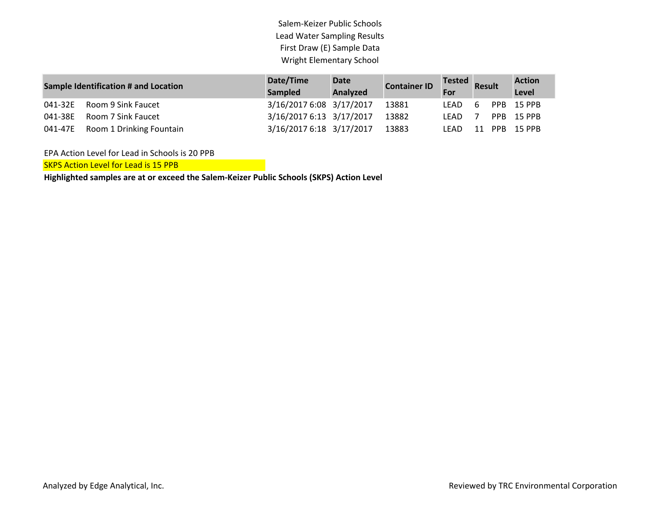Salem-Keizer Public Schools Lead Water Sampling Results First Draw (E) Sample Data Wright Elementary School

| <b>Sample Identification # and Location</b> |                                  | Date/Time                | Date     | <b>Container ID</b> |      | Tested Result  |  | <b>Action</b> |
|---------------------------------------------|----------------------------------|--------------------------|----------|---------------------|------|----------------|--|---------------|
|                                             |                                  | <b>Sampled</b>           | Analyzed |                     | For  |                |  | Level         |
|                                             | 041-32E Room 9 Sink Faucet       | 3/16/2017 6:08 3/17/2017 |          | 13881               | LEAD | - 6            |  | PPB 15 PPB    |
| 041-38E                                     | Room 7 Sink Faucet               | 3/16/2017 6:13 3/17/2017 |          | 13882               | LEAD | $\overline{7}$ |  | PPB 15 PPB    |
|                                             | 041-47E Room 1 Drinking Fountain | 3/16/2017 6:18 3/17/2017 |          | 13883               | LEAD | 11             |  | PPB 15 PPB    |

EPA Action Level for Lead in Schools is 20 PPB

SKPS Action Level for Lead is 15 PPB

**Highlighted samples are at or exceed the Salem-Keizer Public Schools (SKPS) Action Level**